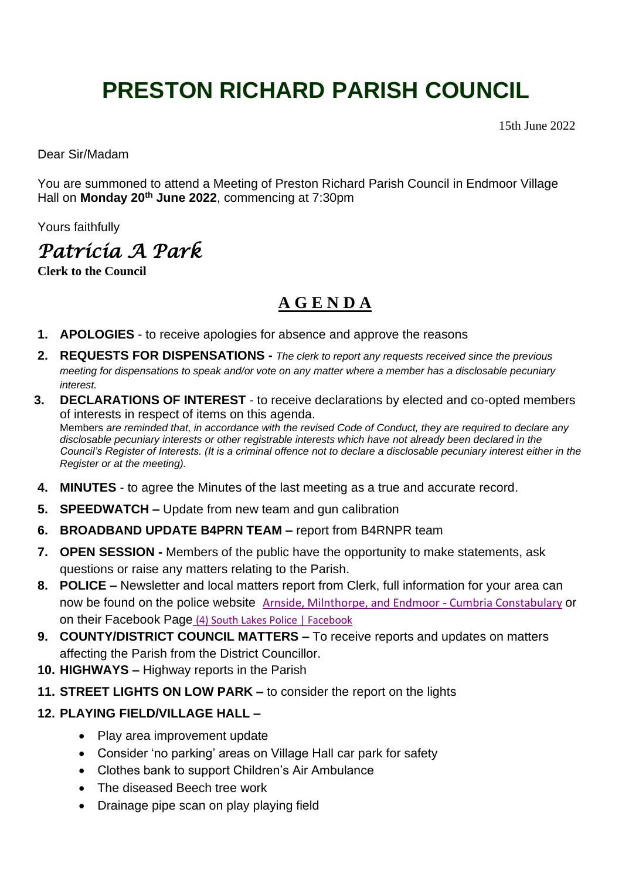# **PRESTON RICHARD PARISH COUNCIL**

15th June 2022

Dear Sir/Madam

You are summoned to attend a Meeting of Preston Richard Parish Council in Endmoor Village Hall on **Monday 20th June 2022**, commencing at 7:30pm

Yours faithfully

*Patricia A Park*

**Clerk to the Council**

# **A G E N D A**

- **1. APOLOGIES** to receive apologies for absence and approve the reasons
- **2. REQUESTS FOR DISPENSATIONS -** *The clerk to report any requests received since the previous meeting for dispensations to speak and/or vote on any matter where a member has a disclosable pecuniary interest.*
- **3. DECLARATIONS OF INTEREST** to receive declarations by elected and co-opted members of interests in respect of items on this agenda. Members *are reminded that, in accordance with the revised Code of Conduct, they are required to declare any disclosable pecuniary interests or other registrable interests which have not already been declared in the Council's Register of Interests. (It is a criminal offence not to declare a disclosable pecuniary interest either in the Register or at the meeting).*
- **4. MINUTES** to agree the Minutes of the last meeting as a true and accurate record.
- **5. SPEEDWATCH –** Update from new team and gun calibration
- **6. BROADBAND UPDATE B4PRN TEAM –** report from B4RNPR team
- **7. OPEN SESSION -** Members of the public have the opportunity to make statements, ask questions or raise any matters relating to the Parish.
- **8. POLICE –** Newsletter and local matters report from Clerk, full information for your area can now be found on the police website [Arnside, Milnthorpe, and Endmoor -](https://www.cumbria.police.uk/your-area/arnside-milnthorpe-and-endmoor) Cumbria Constabulary or on their Facebook Page [\(4\) South Lakes Police | Facebook](https://www.facebook.com/SouthLakesPolice)
- **9. COUNTY/DISTRICT COUNCIL MATTERS –** To receive reports and updates on matters affecting the Parish from the District Councillor.
- **10. HIGHWAYS –** Highway reports in the Parish
- **11. STREET LIGHTS ON LOW PARK –** to consider the report on the lights
- **12. PLAYING FIELD/VILLAGE HALL –**
	- Play area improvement update
	- Consider 'no parking' areas on Village Hall car park for safety
	- Clothes bank to support Children's Air Ambulance
	- The diseased Beech tree work
	- Drainage pipe scan on play playing field